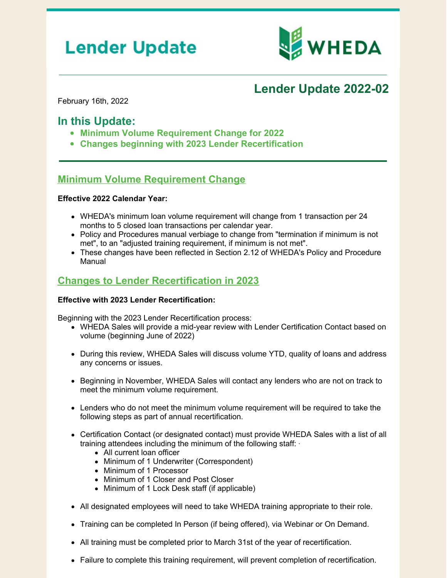# **Lender Update**



## **Lender Update 2022-02**

February 16th, 2022

## **In this Update:**

- **Minimum Volume Requirement Change for 2022**
- **Changes beginning with 2023 Lender Recertification**

### **Minimum Volume Requirement Change**

#### **Effective 2022 Calendar Year:**

- WHEDA's minimum loan volume requirement will change from 1 transaction per 24 months to 5 closed loan transactions per calendar year.
- Policy and Procedures manual verbiage to change from "termination if minimum is not met", to an "adjusted training requirement, if minimum is not met".
- These changes have been reflected in Section 2.12 of WHEDA's Policy and Procedure Manual

## **Changes to Lender Recertification in 2023**

#### **Effective with 2023 Lender Recertification:**

Beginning with the 2023 Lender Recertification process:

- WHEDA Sales will provide a mid-year review with Lender Certification Contact based on volume (beginning June of 2022)
- During this review, WHEDA Sales will discuss volume YTD, quality of loans and address any concerns or issues.
- Beginning in November, WHEDA Sales will contact any lenders who are not on track to meet the minimum volume requirement.
- Lenders who do not meet the minimum volume requirement will be required to take the following steps as part of annual recertification.
- Certification Contact (or designated contact) must provide WHEDA Sales with a list of all training attendees including the minimum of the following staff: ·
	- All current loan officer
	- Minimum of 1 Underwriter (Correspondent)
	- Minimum of 1 Processor
	- Minimum of 1 Closer and Post Closer
	- Minimum of 1 Lock Desk staff (if applicable)
- All designated employees will need to take WHEDA training appropriate to their role.
- Training can be completed In Person (if being offered), via Webinar or On Demand.
- All training must be completed prior to March 31st of the year of recertification.
- Failure to complete this training requirement, will prevent completion of recertification.